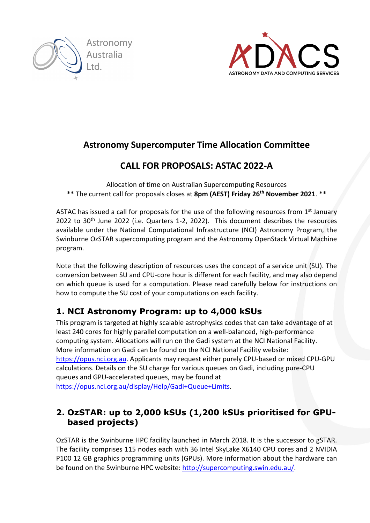



## **Astronomy Supercomputer Time Allocation Committee**

# **CALL FOR PROPOSALS: ASTAC 2022-A**

Allocation of time on Australian Supercomputing Resources \*\* The current call for proposals closes at **8pm (AEST) Friday 26th November 2021**. \*\*

ASTAC has issued a call for proposals for the use of the following resources from  $1<sup>st</sup>$  January 2022 to 30<sup>th</sup> June 2022 (i.e. Quarters 1-2, 2022). This document describes the resources available under the National Computational Infrastructure (NCI) Astronomy Program, the Swinburne OzSTAR supercomputing program and the Astronomy OpenStack Virtual Machine program.

Note that the following description of resources uses the concept of a service unit (SU). The conversion between SU and CPU-core hour is different for each facility, and may also depend on which queue is used for a computation. Please read carefully below for instructions on how to compute the SU cost of your computations on each facility.

## **1. NCI Astronomy Program: up to 4,000 kSUs**

This program is targeted at highly scalable astrophysics codes that can take advantage of at least 240 cores for highly parallel computation on a well-balanced, high-performance computing system. Allocations will run on the Gadi system at the NCI National Facility. More information on Gadi can be found on the NCI National Facility website: https://opus.nci.org.au. Applicants may request either purely CPU-based or mixed CPU-GPU calculations. Details on the SU charge for various queues on Gadi, including pure-CPU queues and GPU-accelerated queues, may be found at https://opus.nci.org.au/display/Help/Gadi+Queue+Limits.

### **2. OzSTAR: up to 2,000 kSUs (1,200 kSUs prioritised for GPUbased projects)**

OzSTAR is the Swinburne HPC facility launched in March 2018. It is the successor to gSTAR. The facility comprises 115 nodes each with 36 Intel SkyLake X6140 CPU cores and 2 NVIDIA P100 12 GB graphics programming units (GPUs). More information about the hardware can be found on the Swinburne HPC website: http://supercomputing.swin.edu.au/.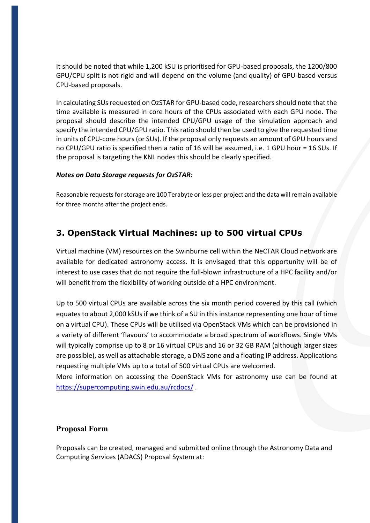It should be noted that while 1,200 kSU is prioritised for GPU-based proposals, the 1200/800 GPU/CPU split is not rigid and will depend on the volume (and quality) of GPU-based versus CPU-based proposals.

In calculating SUs requested on OzSTAR for GPU-based code, researchers should note that the time available is measured in core hours of the CPUs associated with each GPU node. The proposal should describe the intended CPU/GPU usage of the simulation approach and specify the intended CPU/GPU ratio. This ratio should then be used to give the requested time in units of CPU-core hours (or SUs). If the proposal only requests an amount of GPU hours and no CPU/GPU ratio is specified then a ratio of 16 will be assumed, i.e. 1 GPU hour = 16 SUs. If the proposal is targeting the KNL nodes this should be clearly specified.

#### *Notes on Data Storage requests for OzSTAR:*

Reasonable requests for storage are 100 Terabyte or less per project and the data will remain available for three months after the project ends.

### **3. OpenStack Virtual Machines: up to 500 virtual CPUs**

Virtual machine (VM) resources on the Swinburne cell within the NeCTAR Cloud network are available for dedicated astronomy access. It is envisaged that this opportunity will be of interest to use cases that do not require the full-blown infrastructure of a HPC facility and/or will benefit from the flexibility of working outside of a HPC environment.

Up to 500 virtual CPUs are available across the six month period covered by this call (which equates to about 2,000 kSUs if we think of a SU in this instance representing one hour of time on a virtual CPU). These CPUs will be utilised via OpenStack VMs which can be provisioned in a variety of different 'flavours' to accommodate a broad spectrum of workflows. Single VMs will typically comprise up to 8 or 16 virtual CPUs and 16 or 32 GB RAM (although larger sizes are possible), as well as attachable storage, a DNS zone and a floating IP address. Applications requesting multiple VMs up to a total of 500 virtual CPUs are welcomed.

More information on accessing the OpenStack VMs for astronomy use can be found at https://supercomputing.swin.edu.au/rcdocs/ .

#### **Proposal Form**

Proposals can be created, managed and submitted online through the Astronomy Data and Computing Services (ADACS) Proposal System at: